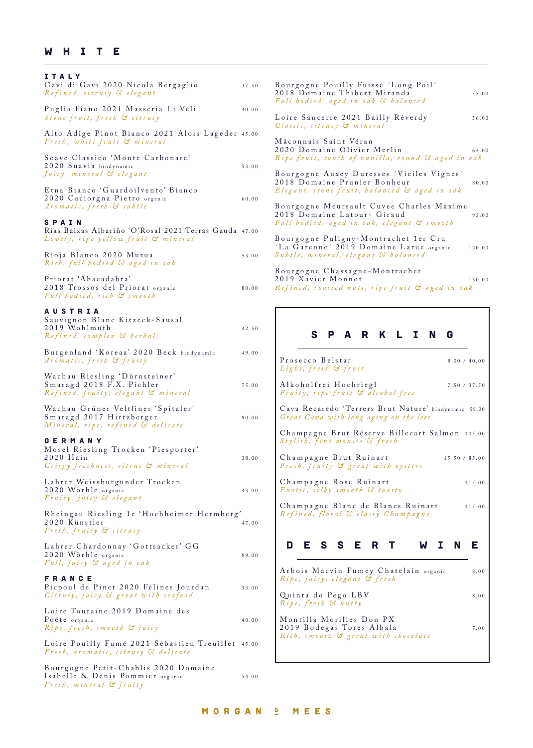## W H I T E

| ITALY<br>Gavi di Gavi 2020 Nicola Bergaglio<br>Refined, citrusy & elegant                                | $\rm{B}$<br>37.50<br>20                                              |
|----------------------------------------------------------------------------------------------------------|----------------------------------------------------------------------|
| Puglia Fiano 2021 Masseria Li Veli<br>Stone fruit, fresh & citrusy                                       | $F\iota$<br>40.00<br>L c                                             |
| Alto Adige Pinot Bianco 2021 Alois Lageder 45.00<br>Fresh, white fruit & mineral                         | G <sub>l</sub><br>М                                                  |
| Soave Classico 'Monte Carbonare'<br>2020 Suavia biodynamic<br>Juicy, mineral & elegant                   | 20<br>$\mathbb{R}$<br>53.00<br>B <sub>0</sub><br>20                  |
| Etna Bianco 'Guardoilvento' Bianco<br>2020 Caciorgna Pietro organic<br>Aromatic, fresh & subtle          | E <sub>l</sub><br>60.00<br>B <sub>0</sub><br>20                      |
| SPAIN<br>Rias Baixas Albariño 'O'Rosal 2021 Terras Gauda 47.00<br>Lovely, ripe yellow fruit & mineral    | $F\iota$<br>B <sub>0</sub>                                           |
| Rioja Blanco 2020 Murua<br>Rich, full bodied & aged in oak                                               | ΊL<br>$\mathcal{S}$ $\mathfrak{a}$<br>53.00                          |
| Priorat 'Abacadabra'<br>2018 Trossos del Priorat organic<br>Full bodied, rich & smooth                   | B <sub>0</sub><br>20<br>$R_{\rm d}$<br>80.00                         |
| <b>AUSTRIA</b><br>Sauvignon Blanc Kitzeck-Sausal<br>2019 Wohlmuth<br>Refined, complex & herbal           | 42.50                                                                |
| Burgenland 'Koreaa' 2020 Beck biodynamic<br>Aromatic, fresh & fruity                                     | 49.00<br>F                                                           |
| Wachau Riesling 'Dürnsteiner'<br>Smaragd 2018 F.X. Pichler<br>Refined, fruity, elegant & mineral         | $\overline{I}$<br>$\overline{f}$<br>75.00<br>$\boldsymbol{I}$        |
| Wachau Grüner Veltliner 'Spitaler'<br>Smaragd 2017 Hirtzberger<br>Mineral, ripe, refined & delicate      | $\mathsf{C}$<br>$\epsilon$<br>90.00<br>$\overline{\mathsf{C}}$       |
| <b>GERMANY</b><br>Mosel Riesling Trocken 'Piesporter'<br>2020 Hain<br>Crispy freshness, citrus & mineral | $\mathcal{S}_{0}^{(1)}$<br>C<br>38.00<br>$\boldsymbol{l}$            |
| Lahrer Weissburgunder Trocken<br>2020 Wörhle organic<br>Fruity, juicy & elegant                          | $\overline{\mathsf{C}}$<br>$\overline{I}$<br>43.00<br>$\overline{C}$ |
| Rheingau Riesling 1e 'Hochheimer Hermberg'<br>2020 Künstler<br>Fresh, fruity & citrusy                   | $\overline{I}$<br>47.00                                              |
| Lahrer Chardonnay 'Gottsacker' GG<br>2020 Wörhle organic<br>Full, juicy & aged in oak                    | 89.00                                                                |
| <b>FRANCE</b><br>Picpoul de Pinet 2020 Félines Jourdan<br>Citrusy, juicy & great with seafood            | $\overline{I}$<br>33.00<br>$\frac{1}{2}$                             |
| Loire Touraine 2019 Domaine des<br>Poëte organic<br>Ripe, fresh, smooth & juicy                          | $\mathbf{N}$<br>40.00<br>$\frac{2}{I}$                               |
| Loire Pouilly Fumé 2021 Sébastien Treuillet<br>Fresh, aromatic, citrusy & delicate                       | 45.00                                                                |
| Bourgogne Petit-Chablis 2020 Domaine<br>Isabelle & Denis Pommier organic                                 | 54.00                                                                |

*Fresh, mineral & fruity*

Bourgogne Pouilly Fuissé 'Long Poil' 2018 Domaine Thibert Miranda 55.00 *Full bodied, aged in oak & balanced* oire Sancerre 2021 Bailly Réverdy 56.00 *Classic, citrusy & mineral* aconnais Saint Véran 2020 Domaine Olivier Merlin 64.00 *Ripe fruit, touch of vanilla, round & aged in oak* ourgogne Auxey Duresses 'Vieiles Vignes' 018 Domaine Prunier Bonheur 80.00 *Elegant, stone fruit, balanced & aged in oak* Bourgogne Meursault Cuvee Charles Maxime 2018 Domaine Latour- Giraud 93.00 *Full bodied, aged in oak, elegant & smooth* Bourgogne Puligny-Montrachet 1er Cru ´La Garenne´ 2019 Domaine Larue organic 120.00 *Subtle, mineral, elegant & balanced* o u r g o g n e Chassagne - M o n t r a ch e t  $2019$   $X$  avier Monnot 130.00 *Ref ined, roasted nuts, ripe fruit & aged in oak*

## sparkling

| Prosecco Belstar<br>Light, fresh & fruit                                                       | 8.00 / 40.00  |
|------------------------------------------------------------------------------------------------|---------------|
| Alkoholfrei Hochriegl<br>Fruity, ripe fruit & alcohol free                                     | 7.50 / 37.50  |
| Cava Recaredo 'Terrers Brut Nature' biodynamic 58.00<br>Great Cava with long aging on the lees |               |
| Champagne Brut Réserve Billecart Salmon 105.00<br>Stylish, fine mousse & fresh                 |               |
| Champagne Brut Ruinart<br>Fresh, fruity & great with oysters                                   | 15.50 / 85.00 |
| Champagne Rose Ruinart<br>Exotic, silky smooth & toasty                                        | 115.00        |
| Champagne Blanc de Blancs Ruinart<br>Refined, floral & classy Champagne                        | 115.00        |
| D E S S E R T                                                                                  | <b>WINE</b>   |
|                                                                                                |               |
| Arbois Macvin Fumey Chatelain organic<br>Ripe, juicy, elegant & fresh                          | 8.00          |
| Quinta do Pego LBV<br>Ripe, fresh & nutty                                                      | 8.00          |
| Montilla Morilles Don PX<br>2010 D 1 T 1 T 1111                                                |               |

2019 Bodegas Tores Albala 7.00 *Rich, smooth & great with chocolate*